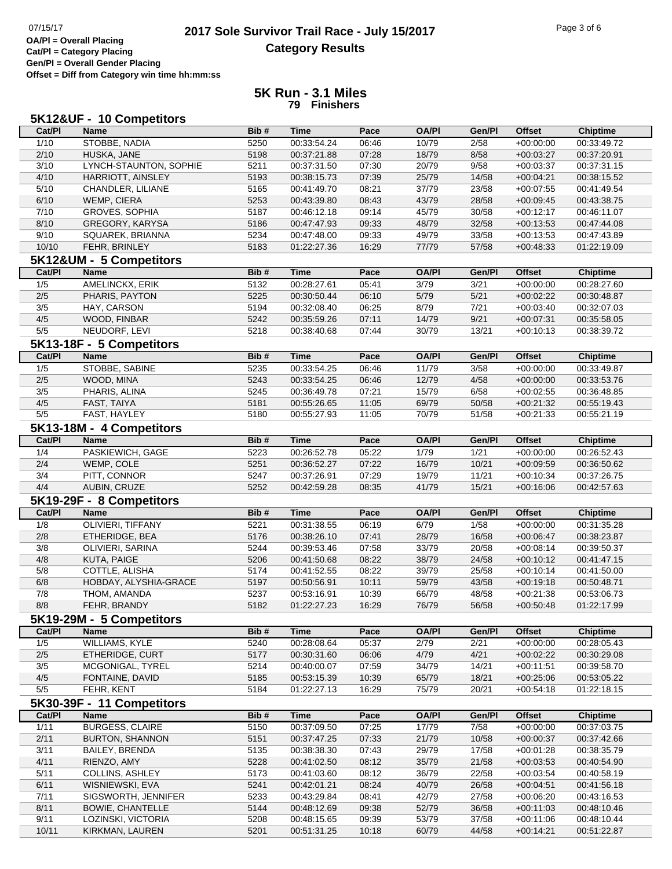## **2017 Sole Survivor Trail Race - July 15/2017** Page 3 of 6 Page 3 of 6 Page 3 of 6 **Category Results**

**Cat/Pl = Category Placing Gen/Pl = Overall Gender Placing Offset = Diff from Category win time hh:mm:ss**

## **5K Run - 3.1 Miles 79 Finishers**

| 5K12&UF - 10 Competitors |                                       |              |                            |                |                |                |                            |                            |  |  |
|--------------------------|---------------------------------------|--------------|----------------------------|----------------|----------------|----------------|----------------------------|----------------------------|--|--|
| Cat/PI                   | <b>Name</b>                           | Bib#         | <b>Time</b>                | Pace           | <b>OA/PI</b>   | Gen/Pl         | <b>Offset</b>              | <b>Chiptime</b>            |  |  |
| 1/10                     | STOBBE, NADIA                         | 5250         | 00:33:54.24                | 06:46          | 10/79          | 2/58           | $+00:00:00$                | 00:33:49.72                |  |  |
| 2/10                     | HUSKA, JANE                           | 5198         | 00:37:21.88                | 07:28          | 18/79          | 8/58           | $+00:03:27$                | 00:37:20.91                |  |  |
| 3/10                     | LYNCH-STAUNTON, SOPHIE                | 5211         | 00:37:31.50                | 07:30          | 20/79          | 9/58           | $+00:03:37$                | 00:37:31.15                |  |  |
| 4/10                     | HARRIOTT, AINSLEY                     | 5193         | 00:38:15.73                | 07:39          | 25/79          | 14/58          | $+00:04:21$                | 00:38:15.52                |  |  |
| 5/10                     | CHANDLER, LILIANE                     | 5165         | 00:41:49.70                | 08:21          | 37/79          | 23/58          | $+00:07:55$                | 00:41:49.54                |  |  |
| 6/10                     | WEMP, CIERA                           | 5253         | 00:43:39.80                | 08:43          | 43/79          | 28/58          | $+00:09:45$                | 00:43:38.75                |  |  |
| 7/10                     | <b>GROVES, SOPHIA</b>                 | 5187         | 00:46:12.18                | 09:14          | 45/79          | 30/58          | $+00:12:17$                | 00:46:11.07                |  |  |
| 8/10                     | GREGORY, KARYSA                       | 5186         | 00:47:47.93                | 09:33          | 48/79          | 32/58          | $+00:13:53$                | 00:47:44.08                |  |  |
| 9/10                     | SQUAREK, BRIANNA                      | 5234         | 00:47:48.00                | 09:33          | 49/79          | 33/58          | $+00:13:53$                | 00:47:43.89                |  |  |
| 10/10                    | FEHR, BRINLEY                         | 5183         | 01:22:27.36                | 16:29          | 77/79          | 57/58          | $+00.48.33$                | 01:22:19.09                |  |  |
|                          | 5K12&UM - 5 Competitors               |              |                            |                |                |                |                            |                            |  |  |
| Cat/PI                   | <b>Name</b>                           | Bib#         | <b>Time</b>                | Pace           | <b>OA/PI</b>   | Gen/Pl         | <b>Offset</b>              | <b>Chiptime</b>            |  |  |
| 1/5                      | AMELINCKX, ERIK                       | 5132         | 00:28:27.61                | 05:41          | 3/79           | 3/21           | $+00:00:00$                | 00:28:27.60                |  |  |
| 2/5                      | PHARIS, PAYTON                        | 5225         | 00:30:50.44                | 06:10          | 5/79           | 5/21           | $+00:02:22$                | 00:30:48.87                |  |  |
| 3/5                      | HAY, CARSON                           | 5194         | 00:32:08.40                | 06:25          | 8/79           | 7/21           | $+00:03:40$                | 00:32:07.03                |  |  |
| 4/5                      | WOOD, FINBAR                          | 5242         | 00:35:59.26                | 07:11          | 14/79          | 9/21           | $+00:07:31$                | 00:35:58.05                |  |  |
| 5/5                      | NEUDORF, LEVI                         | 5218         | 00:38:40.68                | 07:44          | 30/79          | 13/21          | $+00:10:13$                | 00:38:39.72                |  |  |
|                          |                                       |              |                            |                |                |                |                            |                            |  |  |
|                          | 5K13-18F - 5 Competitors              |              |                            |                |                |                |                            |                            |  |  |
| Cat/PI                   | <b>Name</b>                           | Bib#         | <b>Time</b>                | Pace           | <b>OA/PI</b>   | Gen/Pl         | <b>Offset</b>              | <b>Chiptime</b>            |  |  |
| 1/5                      | STOBBE, SABINE                        | 5235         | 00:33:54.25                | 06:46          | 11/79          | 3/58           | $+00:00:00$                | 00:33:49.87                |  |  |
| 2/5                      | WOOD, MINA                            | 5243         | 00:33:54.25                | 06:46          | 12/79          | 4/58           | $+00:00:00$                | 00:33:53.76                |  |  |
| 3/5                      | PHARIS, ALINA                         | 5245         | 00:36:49.78                | 07:21          | 15/79          | 6/58           | $+00:02:55$                | 00:36:48.85                |  |  |
| 4/5                      | FAST, TAIYA                           | 5181         | 00:55:26.65                | 11:05          | 69/79          | 50/58          | $+00:21:32$                | 00:55:19.43                |  |  |
| 5/5                      | FAST, HAYLEY                          | 5180         | 00:55:27.93                | 11:05          | 70/79          | 51/58          | $+00:21:33$                | 00:55:21.19                |  |  |
|                          | 5K13-18M - 4 Competitors              |              |                            |                |                |                |                            |                            |  |  |
| Cat/PI                   | <b>Name</b>                           | Bib#         | <b>Time</b>                | Pace           | <b>OA/PI</b>   | Gen/Pl         | <b>Offset</b>              | <b>Chiptime</b>            |  |  |
| 1/4                      | PASKIEWICH, GAGE                      | 5223         | 00:26:52.78                | 05:22          | 1/79           | 1/21           | $+00:00:00$                | 00:26:52.43                |  |  |
| 2/4                      | WEMP, COLE                            | 5251         | 00:36:52.27                | 07:22          | 16/79          | 10/21          | $+00:09:59$                | 00:36:50.62                |  |  |
| 3/4                      | PITT, CONNOR                          | 5247         | 00:37:26.91                | 07:29          | 19/79          | 11/21          | $+00:10:34$                | 00:37:26.75                |  |  |
| 4/4                      | AUBIN, CRUZE                          | 5252         | 00:42:59.28                | 08:35          | 41/79          | 15/21          | $+00:16:06$                | 00:42:57.63                |  |  |
|                          | 5K19-29F - 8 Competitors              |              |                            |                |                |                |                            |                            |  |  |
| Cat/PI                   | <b>Name</b>                           | Bib#         | <b>Time</b>                | Pace           | <b>OA/PI</b>   | Gen/Pl         | <b>Offset</b>              | <b>Chiptime</b>            |  |  |
| 1/8                      | OLIVIERI, TIFFANY                     | 5221         | 00:31:38.55                | 06:19          | 6/79           | 1/58           | $+00:00:00$                | 00:31:35.28                |  |  |
| 2/8                      | ETHERIDGE, BEA                        | 5176         | 00:38:26.10                | 07:41          | 28/79          | 16/58          | $+00.06:47$                | 00:38:23.87                |  |  |
| 3/8                      | OLIVIERI, SARINA                      | 5244         | 00:39:53.46                | 07:58          | 33/79          | 20/58          | $+00:08:14$                | 00:39:50.37                |  |  |
| 4/8                      | KUTA, PAIGE                           | 5206         | 00:41:50.68                | 08:22          | 38/79          | 24/58          | $+00:10:12$                | 00:41:47.15                |  |  |
| 5/8                      | COTTLE, ALISHA                        | 5174         | 00:41:52.55                | 08:22          | 39/79          | 25/58          | $+00:10:14$                | 00:41:50.00                |  |  |
| 6/8                      | HOBDAY, ALYSHIA-GRACE                 | 5197         | 00:50:56.91                | 10:11          | 59/79          | 43/58          | $+00:19:18$                | 00:50:48.71                |  |  |
| 7/8                      | THOM, AMANDA                          | 5237         | 00:53:16.91                | 10:39          | 66/79          | 48/58          | $+00.21.38$                | 00:53:06.73                |  |  |
| 8/8                      | FEHR, BRANDY                          | 5182         | 01:22:27.23                | 16:29          | 76/79          | 56/58          | $+00:50:48$                | 01:22:17.99                |  |  |
|                          | 5K19-29M - 5 Competitors              |              |                            |                |                |                |                            |                            |  |  |
| Cat/PI                   | <b>Name</b>                           | Bib#         | <b>Time</b>                | Pace           | <b>OA/PI</b>   | Gen/Pl         | <b>Offset</b>              | <b>Chiptime</b>            |  |  |
| 1/5                      | WILLIAMS, KYLE                        | 5240         | 00:28:08.64                | 05:37          | 2/79           | 2/21           | $+00:00:00$                | 00:28:05.43                |  |  |
| $2/5$                    | ETHERIDGE, CURT                       | 5177         | 00:30:31.60                | 06:06          | 4/79           | 4/21           | $+00:02:22$                | 00:30:29.08                |  |  |
| 3/5                      | MCGONIGAL, TYREL                      | 5214         | 00:40:00.07                | 07:59          | 34/79          | 14/21          | $+00:11:51$                | 00:39:58.70                |  |  |
| 4/5                      | FONTAINE, DAVID                       | 5185         | 00:53:15.39                | 10:39          | 65/79          | 18/21          | $+00:25:06$                | 00:53:05.22                |  |  |
| 5/5                      |                                       | 5184         | 01:22:27.13                | 16:29          | 75/79          |                |                            | 01:22:18.15                |  |  |
|                          | FEHR, KENT                            |              |                            |                |                | 20/21          | $+00:54:18$                |                            |  |  |
|                          | 5K30-39F - 11 Competitors             |              |                            |                |                |                |                            |                            |  |  |
| Cat/PI                   | <b>Name</b>                           | Bib#         | <b>Time</b>                | Pace           | <b>OA/PI</b>   | Gen/Pl         | <b>Offset</b>              | <b>Chiptime</b>            |  |  |
| 1/11                     | <b>BURGESS, CLAIRE</b>                | 5150         | 00:37:09.50                | 07:25          | 17/79          | 7/58           | $+00:00:00$                | 00:37:03.75                |  |  |
| 2/11                     | <b>BURTON, SHANNON</b>                | 5151         | 00:37:47.25                | 07:33          | 21/79          | 10/58          | $+00:00:37$                | 00:37:42.66                |  |  |
| 3/11                     | <b>BAILEY, BRENDA</b>                 | 5135         | 00:38:38.30                | 07:43          | 29/79          | 17/58          | $+00:01:28$                | 00:38:35.79                |  |  |
| 4/11                     | RIENZO, AMY                           | 5228         | 00:41:02.50                | 08:12          | 35/79          | 21/58          | $+00:03:53$                | 00:40:54.90                |  |  |
|                          |                                       |              |                            |                |                | 22/58          |                            | 00:40:58.19                |  |  |
| 5/11                     | <b>COLLINS, ASHLEY</b>                | 5173         | 00:41:03.60                | 08:12          | 36/79          |                | $+00:03:54$                |                            |  |  |
| 6/11                     | WISNIEWSKI, EVA                       | 5241         | 00:42:01.21                | 08:24          | 40/79          | 26/58          | $+00:04:51$                | 00:41:56.18                |  |  |
| 7/11                     | SIGSWORTH, JENNIFER                   | 5233         | 00:43:29.84                | 08:41          | 42/79          | 27/58          | $+00:06:20$                | 00:43:16.53                |  |  |
| 8/11                     | <b>BOWIE, CHANTELLE</b>               | 5144         | 00:48:12.69                | 09:38          | 52/79          | 36/58          | $+00:11:03$                | 00:48:10.46                |  |  |
| 9/11<br>10/11            | LOZINSKI, VICTORIA<br>KIRKMAN, LAUREN | 5208<br>5201 | 00:48:15.65<br>00:51:31.25 | 09:39<br>10:18 | 53/79<br>60/79 | 37/58<br>44/58 | $+00:11:06$<br>$+00:14:21$ | 00:48:10.44<br>00:51:22.87 |  |  |